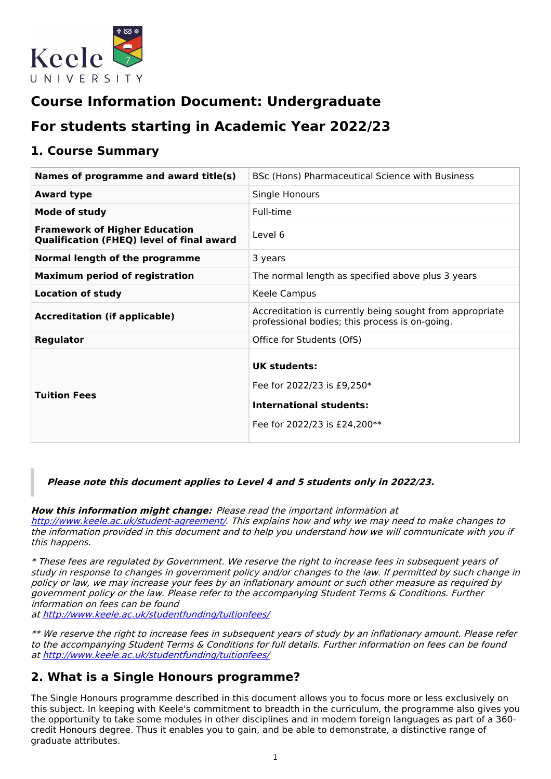

# **Course Information Document: Undergraduate**

# **For students starting in Academic Year 2022/23**

### **1. Course Summary**

| Names of programme and award title(s)                                                    | BSc (Hons) Pharmaceutical Science with Business                                                              |
|------------------------------------------------------------------------------------------|--------------------------------------------------------------------------------------------------------------|
| <b>Award type</b>                                                                        | Single Honours                                                                                               |
| Mode of study                                                                            | Full-time                                                                                                    |
| <b>Framework of Higher Education</b><br><b>Qualification (FHEQ) level of final award</b> | Level 6                                                                                                      |
| Normal length of the programme                                                           | 3 years                                                                                                      |
| <b>Maximum period of registration</b>                                                    | The normal length as specified above plus 3 years                                                            |
| <b>Location of study</b>                                                                 | Keele Campus                                                                                                 |
| <b>Accreditation (if applicable)</b>                                                     | Accreditation is currently being sought from appropriate<br>professional bodies; this process is on-going.   |
| Regulator                                                                                | Office for Students (OfS)                                                                                    |
| <b>Tuition Fees</b>                                                                      | UK students:<br>Fee for 2022/23 is £9,250*<br><b>International students:</b><br>Fee for 2022/23 is £24,200** |

#### **Please note this document applies to Level 4 and 5 students only in 2022/23.**

**How this information might change:** Please read the important information at

<http://www.keele.ac.uk/student-agreement/>. This explains how and why we may need to make changes to the information provided in this document and to help you understand how we will communicate with you if this happens.

\* These fees are regulated by Government. We reserve the right to increase fees in subsequent years of study in response to changes in government policy and/or changes to the law. If permitted by such change in policy or law, we may increase your fees by an inflationary amount or such other measure as required by government policy or the law. Please refer to the accompanying Student Terms & Conditions. Further information on fees can be found at <http://www.keele.ac.uk/studentfunding/tuitionfees/>

\*\* We reserve the right to increase fees in subsequent years of study by an inflationary amount. Please refer to the accompanying Student Terms & Conditions for full details. Further information on fees can be found at <http://www.keele.ac.uk/studentfunding/tuitionfees/>

### **2. What is a Single Honours programme?**

The Single Honours programme described in this document allows you to focus more or less exclusively on this subject. In keeping with Keele's commitment to breadth in the curriculum, the programme also gives you the opportunity to take some modules in other disciplines and in modern foreign languages as part of a 360 credit Honours degree. Thus it enables you to gain, and be able to demonstrate, a distinctive range of graduate attributes.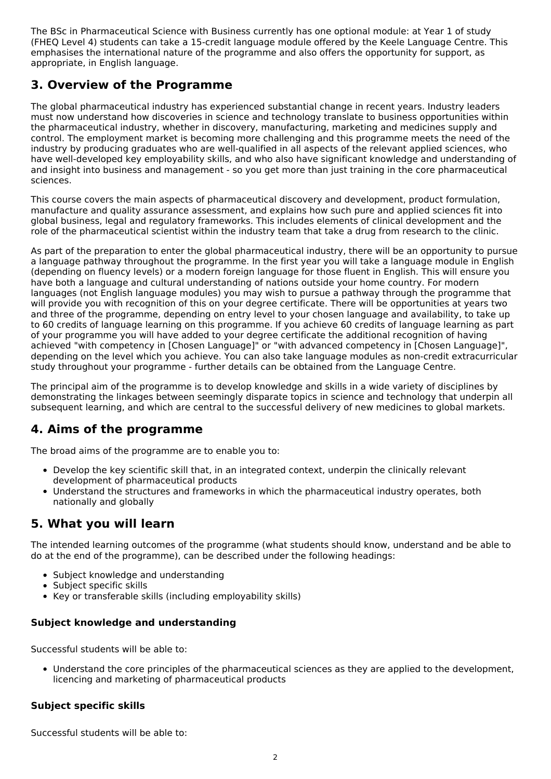The BSc in Pharmaceutical Science with Business currently has one optional module: at Year 1 of study (FHEQ Level 4) students can take a 15-credit language module offered by the Keele Language Centre. This emphasises the international nature of the programme and also offers the opportunity for support, as appropriate, in English language.

## **3. Overview of the Programme**

The global pharmaceutical industry has experienced substantial change in recent years. Industry leaders must now understand how discoveries in science and technology translate to business opportunities within the pharmaceutical industry, whether in discovery, manufacturing, marketing and medicines supply and control. The employment market is becoming more challenging and this programme meets the need of the industry by producing graduates who are well-qualified in all aspects of the relevant applied sciences, who have well-developed key employability skills, and who also have significant knowledge and understanding of and insight into business and management - so you get more than just training in the core pharmaceutical sciences.

This course covers the main aspects of pharmaceutical discovery and development, product formulation, manufacture and quality assurance assessment, and explains how such pure and applied sciences fit into global business, legal and regulatory frameworks. This includes elements of clinical development and the role of the pharmaceutical scientist within the industry team that take a drug from research to the clinic.

As part of the preparation to enter the global pharmaceutical industry, there will be an opportunity to pursue a language pathway throughout the programme. In the first year you will take a language module in English (depending on fluency levels) or a modern foreign language for those fluent in English. This will ensure you have both a language and cultural understanding of nations outside your home country. For modern languages (not English language modules) you may wish to pursue a pathway through the programme that will provide you with recognition of this on your degree certificate. There will be opportunities at years two and three of the programme, depending on entry level to your chosen language and availability, to take up to 60 credits of language learning on this programme. If you achieve 60 credits of language learning as part of your programme you will have added to your degree certificate the additional recognition of having achieved "with competency in [Chosen Language]" or "with advanced competency in [Chosen Language]", depending on the level which you achieve. You can also take language modules as non-credit extracurricular study throughout your programme - further details can be obtained from the Language Centre.

The principal aim of the programme is to develop knowledge and skills in a wide variety of disciplines by demonstrating the linkages between seemingly disparate topics in science and technology that underpin all subsequent learning, and which are central to the successful delivery of new medicines to global markets.

### **4. Aims of the programme**

The broad aims of the programme are to enable you to:

- Develop the key scientific skill that, in an integrated context, underpin the clinically relevant development of pharmaceutical products
- Understand the structures and frameworks in which the pharmaceutical industry operates, both nationally and globally

### **5. What you will learn**

The intended learning outcomes of the programme (what students should know, understand and be able to do at the end of the programme), can be described under the following headings:

- Subject knowledge and understanding
- Subject specific skills
- Key or transferable skills (including employability skills)

#### **Subject knowledge and understanding**

Successful students will be able to:

Understand the core principles of the pharmaceutical sciences as they are applied to the development, licencing and marketing of pharmaceutical products

### **Subject specific skills**

Successful students will be able to: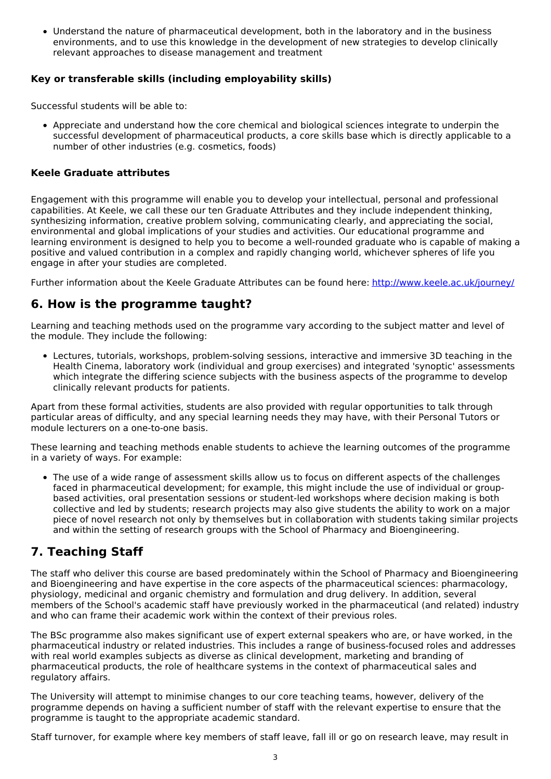Understand the nature of pharmaceutical development, both in the laboratory and in the business environments, and to use this knowledge in the development of new strategies to develop clinically relevant approaches to disease management and treatment

#### **Key or transferable skills (including employability skills)**

Successful students will be able to:

Appreciate and understand how the core chemical and biological sciences integrate to underpin the successful development of pharmaceutical products, a core skills base which is directly applicable to a number of other industries (e.g. cosmetics, foods)

#### **Keele Graduate attributes**

Engagement with this programme will enable you to develop your intellectual, personal and professional capabilities. At Keele, we call these our ten Graduate Attributes and they include independent thinking, synthesizing information, creative problem solving, communicating clearly, and appreciating the social, environmental and global implications of your studies and activities. Our educational programme and learning environment is designed to help you to become a well-rounded graduate who is capable of making a positive and valued contribution in a complex and rapidly changing world, whichever spheres of life you engage in after your studies are completed.

Further information about the Keele Graduate Attributes can be found here: <http://www.keele.ac.uk/journey/>

### **6. How is the programme taught?**

Learning and teaching methods used on the programme vary according to the subject matter and level of the module. They include the following:

Lectures, tutorials, workshops, problem-solving sessions, interactive and immersive 3D teaching in the Health Cinema, laboratory work (individual and group exercises) and integrated 'synoptic' assessments which integrate the differing science subjects with the business aspects of the programme to develop clinically relevant products for patients.

Apart from these formal activities, students are also provided with regular opportunities to talk through particular areas of difficulty, and any special learning needs they may have, with their Personal Tutors or module lecturers on a one-to-one basis.

These learning and teaching methods enable students to achieve the learning outcomes of the programme in a variety of ways. For example:

The use of a wide range of assessment skills allow us to focus on different aspects of the challenges faced in pharmaceutical development; for example, this might include the use of individual or groupbased activities, oral presentation sessions or student-led workshops where decision making is both collective and led by students; research projects may also give students the ability to work on a major piece of novel research not only by themselves but in collaboration with students taking similar projects and within the setting of research groups with the School of Pharmacy and Bioengineering.

# **7. Teaching Staff**

The staff who deliver this course are based predominately within the School of Pharmacy and Bioengineering and Bioengineering and have expertise in the core aspects of the pharmaceutical sciences: pharmacology, physiology, medicinal and organic chemistry and formulation and drug delivery. In addition, several members of the School's academic staff have previously worked in the pharmaceutical (and related) industry and who can frame their academic work within the context of their previous roles.

The BSc programme also makes significant use of expert external speakers who are, or have worked, in the pharmaceutical industry or related industries. This includes a range of business-focused roles and addresses with real world examples subjects as diverse as clinical development, marketing and branding of pharmaceutical products, the role of healthcare systems in the context of pharmaceutical sales and regulatory affairs.

The University will attempt to minimise changes to our core teaching teams, however, delivery of the programme depends on having a sufficient number of staff with the relevant expertise to ensure that the programme is taught to the appropriate academic standard.

Staff turnover, for example where key members of staff leave, fall ill or go on research leave, may result in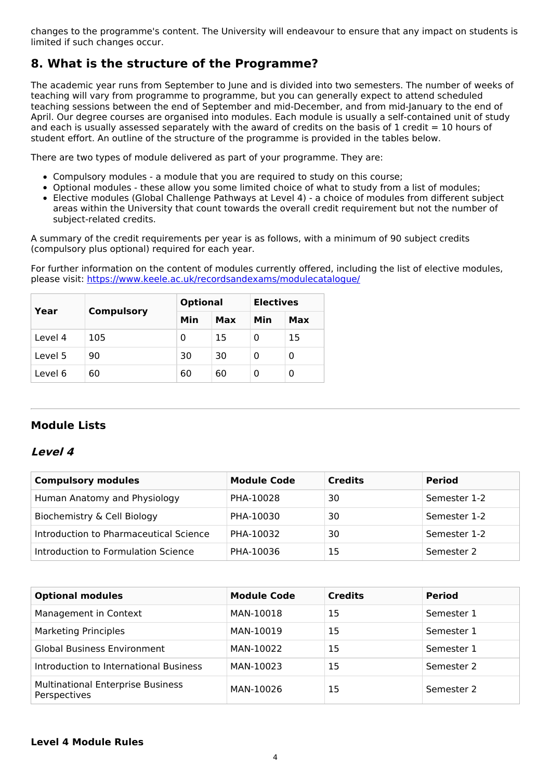changes to the programme's content. The University will endeavour to ensure that any impact on students is limited if such changes occur.

# **8. What is the structure of the Programme?**

The academic year runs from September to June and is divided into two semesters. The number of weeks of teaching will vary from programme to programme, but you can generally expect to attend scheduled teaching sessions between the end of September and mid-December, and from mid-January to the end of April. Our degree courses are organised into modules. Each module is usually a self-contained unit of study and each is usually assessed separately with the award of credits on the basis of 1 credit  $= 10$  hours of student effort. An outline of the structure of the programme is provided in the tables below.

There are two types of module delivered as part of your programme. They are:

- Compulsory modules a module that you are required to study on this course;
- Optional modules these allow you some limited choice of what to study from a list of modules;
- Elective modules (Global Challenge Pathways at Level 4) a choice of modules from different subject areas within the University that count towards the overall credit requirement but not the number of subject-related credits.

A summary of the credit requirements per year is as follows, with a minimum of 90 subject credits (compulsory plus optional) required for each year.

For further information on the content of modules currently offered, including the list of elective modules, please visit: <https://www.keele.ac.uk/recordsandexams/modulecatalogue/>

| Year    |                   | <b>Electives</b><br><b>Optional</b> |    |     |    |
|---------|-------------------|-------------------------------------|----|-----|----|
|         | <b>Compulsory</b> | Min<br>Min<br>Max                   |    | Max |    |
| Level 4 | 105               | 0                                   | 15 | 0   | 15 |
| Level 5 | 90                | 30                                  | 30 | 0   | 0  |
| Level 6 | 60                | 60                                  | 60 | 0   | 0  |

### **Module Lists**

### **Level 4**

| <b>Compulsory modules</b>              | <b>Module Code</b> | <b>Credits</b> | <b>Period</b> |
|----------------------------------------|--------------------|----------------|---------------|
| Human Anatomy and Physiology           | PHA-10028          | 30             | Semester 1-2  |
| Biochemistry & Cell Biology            | PHA-10030          | 30             | Semester 1-2  |
| Introduction to Pharmaceutical Science | PHA-10032          | 30             | Semester 1-2  |
| Introduction to Formulation Science    | PHA-10036          | 15             | Semester 2    |

| <b>Optional modules</b>                                  | <b>Module Code</b> | <b>Credits</b> | <b>Period</b> |
|----------------------------------------------------------|--------------------|----------------|---------------|
| Management in Context                                    | MAN-10018          | 15             | Semester 1    |
| <b>Marketing Principles</b>                              | MAN-10019          | 15             | Semester 1    |
| <b>Global Business Environment</b>                       | MAN-10022          | 15             | Semester 1    |
| Introduction to International Business                   | MAN-10023          | 15             | Semester 2    |
| <b>Multinational Enterprise Business</b><br>Perspectives | MAN-10026          | 15             | Semester 2    |

#### **Level 4 Module Rules**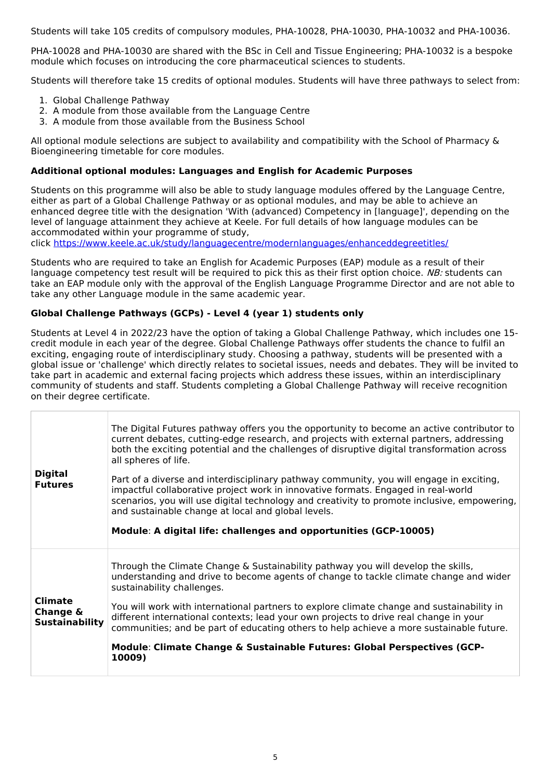Students will take 105 credits of compulsory modules, PHA-10028, PHA-10030, PHA-10032 and PHA-10036.

PHA-10028 and PHA-10030 are shared with the BSc in Cell and Tissue Engineering; PHA-10032 is a bespoke module which focuses on introducing the core pharmaceutical sciences to students.

Students will therefore take 15 credits of optional modules. Students will have three pathways to select from:

- 1. Global Challenge Pathway
- 2. A module from those available from the Language Centre
- 3. A module from those available from the Business School

All optional module selections are subject to availability and compatibility with the School of Pharmacy & Bioengineering timetable for core modules.

#### **Additional optional modules: Languages and English for Academic Purposes**

Students on this programme will also be able to study language modules offered by the Language Centre, either as part of a Global Challenge Pathway or as optional modules, and may be able to achieve an enhanced degree title with the designation 'With (advanced) Competency in [language]', depending on the level of language attainment they achieve at Keele. For full details of how language modules can be accommodated within your programme of study,

click <https://www.keele.ac.uk/study/languagecentre/modernlanguages/enhanceddegreetitles/>

Students who are required to take an English for Academic Purposes (EAP) module as a result of their language competency test result will be required to pick this as their first option choice. NB: students can take an EAP module only with the approval of the English Language Programme Director and are not able to take any other Language module in the same academic year.

#### **Global Challenge Pathways (GCPs) - Level 4 (year 1) students only**

Students at Level 4 in 2022/23 have the option of taking a Global Challenge Pathway, which includes one 15 credit module in each year of the degree. Global Challenge Pathways offer students the chance to fulfil an exciting, engaging route of interdisciplinary study. Choosing a pathway, students will be presented with a global issue or 'challenge' which directly relates to societal issues, needs and debates. They will be invited to take part in academic and external facing projects which address these issues, within an interdisciplinary community of students and staff. Students completing a Global Challenge Pathway will receive recognition on their degree certificate.

| <b>Digital</b><br><b>Futures</b>                    | The Digital Futures pathway offers you the opportunity to become an active contributor to<br>current debates, cutting-edge research, and projects with external partners, addressing<br>both the exciting potential and the challenges of disruptive digital transformation across<br>all spheres of life.<br>Part of a diverse and interdisciplinary pathway community, you will engage in exciting,<br>impactful collaborative project work in innovative formats. Engaged in real-world<br>scenarios, you will use digital technology and creativity to promote inclusive, empowering,<br>and sustainable change at local and global levels.<br>Module: A digital life: challenges and opportunities (GCP-10005) |
|-----------------------------------------------------|---------------------------------------------------------------------------------------------------------------------------------------------------------------------------------------------------------------------------------------------------------------------------------------------------------------------------------------------------------------------------------------------------------------------------------------------------------------------------------------------------------------------------------------------------------------------------------------------------------------------------------------------------------------------------------------------------------------------|
| <b>Climate</b><br>Change &<br><b>Sustainability</b> | Through the Climate Change & Sustainability pathway you will develop the skills,<br>understanding and drive to become agents of change to tackle climate change and wider<br>sustainability challenges.<br>You will work with international partners to explore climate change and sustainability in<br>different international contexts; lead your own projects to drive real change in your<br>communities; and be part of educating others to help achieve a more sustainable future.<br>Module: Climate Change & Sustainable Futures: Global Perspectives (GCP-<br>10009)                                                                                                                                       |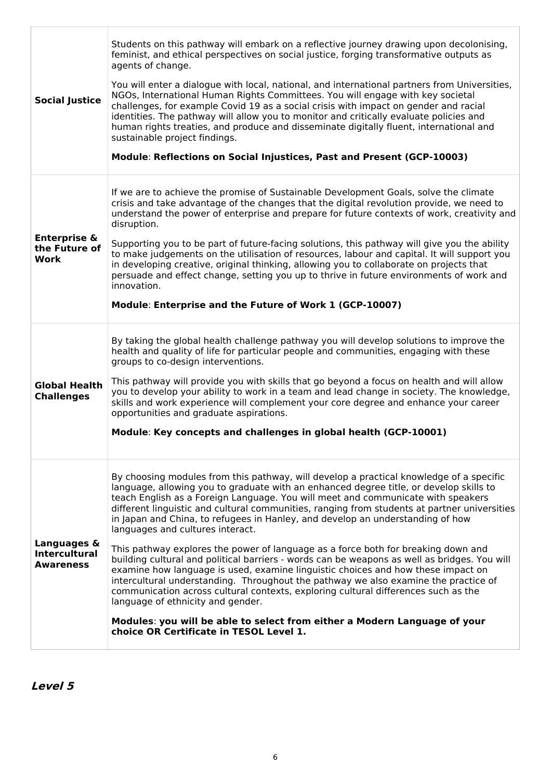| <b>Social Justice</b>                                              | Students on this pathway will embark on a reflective journey drawing upon decolonising,<br>feminist, and ethical perspectives on social justice, forging transformative outputs as<br>agents of change.<br>You will enter a dialogue with local, national, and international partners from Universities,<br>NGOs, International Human Rights Committees. You will engage with key societal<br>challenges, for example Covid 19 as a social crisis with impact on gender and racial<br>identities. The pathway will allow you to monitor and critically evaluate policies and<br>human rights treaties, and produce and disseminate digitally fluent, international and<br>sustainable project findings.<br>Module: Reflections on Social Injustices, Past and Present (GCP-10003)                                                                                                                                                                                                                                                                                                                              |
|--------------------------------------------------------------------|----------------------------------------------------------------------------------------------------------------------------------------------------------------------------------------------------------------------------------------------------------------------------------------------------------------------------------------------------------------------------------------------------------------------------------------------------------------------------------------------------------------------------------------------------------------------------------------------------------------------------------------------------------------------------------------------------------------------------------------------------------------------------------------------------------------------------------------------------------------------------------------------------------------------------------------------------------------------------------------------------------------------------------------------------------------------------------------------------------------|
| <b>Enterprise &amp;</b><br>the Future of<br>Work                   | If we are to achieve the promise of Sustainable Development Goals, solve the climate<br>crisis and take advantage of the changes that the digital revolution provide, we need to<br>understand the power of enterprise and prepare for future contexts of work, creativity and<br>disruption.<br>Supporting you to be part of future-facing solutions, this pathway will give you the ability<br>to make judgements on the utilisation of resources, labour and capital. It will support you<br>in developing creative, original thinking, allowing you to collaborate on projects that<br>persuade and effect change, setting you up to thrive in future environments of work and<br>innovation.<br>Module: Enterprise and the Future of Work 1 (GCP-10007)                                                                                                                                                                                                                                                                                                                                                   |
| <b>Global Health</b><br><b>Challenges</b>                          | By taking the global health challenge pathway you will develop solutions to improve the<br>health and quality of life for particular people and communities, engaging with these<br>groups to co-design interventions.<br>This pathway will provide you with skills that go beyond a focus on health and will allow<br>you to develop your ability to work in a team and lead change in society. The knowledge,<br>skills and work experience will complement your core degree and enhance your career<br>opportunities and graduate aspirations.<br>Module: Key concepts and challenges in global health (GCP-10001)                                                                                                                                                                                                                                                                                                                                                                                                                                                                                          |
| <b>Languages &amp;</b><br><b>Intercultural</b><br><b>Awareness</b> | By choosing modules from this pathway, will develop a practical knowledge of a specific<br>language, allowing you to graduate with an enhanced degree title, or develop skills to<br>teach English as a Foreign Language. You will meet and communicate with speakers<br>different linguistic and cultural communities, ranging from students at partner universities<br>in Japan and China, to refugees in Hanley, and develop an understanding of how<br>languages and cultures interact.<br>This pathway explores the power of language as a force both for breaking down and<br>building cultural and political barriers - words can be weapons as well as bridges. You will<br>examine how language is used, examine linguistic choices and how these impact on<br>intercultural understanding. Throughout the pathway we also examine the practice of<br>communication across cultural contexts, exploring cultural differences such as the<br>language of ethnicity and gender.<br>Modules: you will be able to select from either a Modern Language of your<br>choice OR Certificate in TESOL Level 1. |

**Level 5**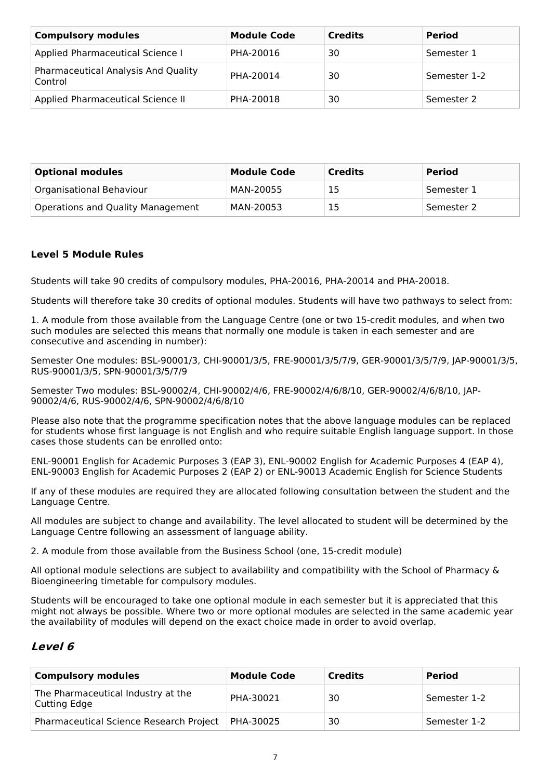| <b>Compulsory modules</b>                             | <b>Module Code</b> | <b>Credits</b> | <b>Period</b> |
|-------------------------------------------------------|--------------------|----------------|---------------|
| Applied Pharmaceutical Science I                      | PHA-20016          | 30             | Semester 1    |
| <b>Pharmaceutical Analysis And Quality</b><br>Control | PHA-20014          | 30             | Semester 1-2  |
| Applied Pharmaceutical Science II                     | PHA-20018          | 30             | Semester 2    |

| <b>Optional modules</b>           | <b>Module Code</b> | <b>Credits</b> | <b>Period</b> |
|-----------------------------------|--------------------|----------------|---------------|
| Organisational Behaviour          | MAN-20055          | 15             | Semester 1    |
| Operations and Quality Management | MAN-20053          | 15             | Semester 2    |

#### **Level 5 Module Rules**

Students will take 90 credits of compulsory modules, PHA-20016, PHA-20014 and PHA-20018.

Students will therefore take 30 credits of optional modules. Students will have two pathways to select from:

1. A module from those available from the Language Centre (one or two 15-credit modules, and when two such modules are selected this means that normally one module is taken in each semester and are consecutive and ascending in number):

Semester One modules: BSL-90001/3, CHI-90001/3/5, FRE-90001/3/5/7/9, GER-90001/3/5/7/9, JAP-90001/3/5, RUS-90001/3/5, SPN-90001/3/5/7/9

Semester Two modules: BSL-90002/4, CHI-90002/4/6, FRE-90002/4/6/8/10, GER-90002/4/6/8/10, JAP-90002/4/6, RUS-90002/4/6, SPN-90002/4/6/8/10

Please also note that the programme specification notes that the above language modules can be replaced for students whose first language is not English and who require suitable English language support. In those cases those students can be enrolled onto:

ENL-90001 English for Academic Purposes 3 (EAP 3), ENL-90002 English for Academic Purposes 4 (EAP 4), ENL-90003 English for Academic Purposes 2 (EAP 2) or ENL-90013 Academic English for Science Students

If any of these modules are required they are allocated following consultation between the student and the Language Centre.

All modules are subject to change and availability. The level allocated to student will be determined by the Language Centre following an assessment of language ability.

2. A module from those available from the Business School (one, 15-credit module)

All optional module selections are subject to availability and compatibility with the School of Pharmacy & Bioengineering timetable for compulsory modules.

Students will be encouraged to take one optional module in each semester but it is appreciated that this might not always be possible. Where two or more optional modules are selected in the same academic year the availability of modules will depend on the exact choice made in order to avoid overlap.

### **Level 6**

| <b>Compulsory modules</b>                          | <b>Module Code</b> | <b>Credits</b> | <b>Period</b> |
|----------------------------------------------------|--------------------|----------------|---------------|
| The Pharmaceutical Industry at the<br>Cutting Edge | PHA-30021          | 30             | Semester 1-2  |
| <b>Pharmaceutical Science Research Project</b>     | PHA-30025          | 30             | Semester 1-2  |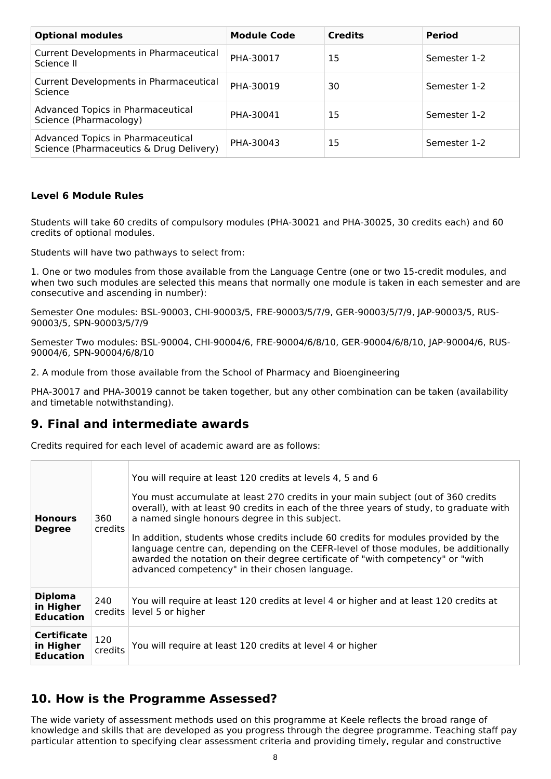| <b>Optional modules</b>                                                      | <b>Module Code</b> | <b>Credits</b> | <b>Period</b> |
|------------------------------------------------------------------------------|--------------------|----------------|---------------|
| Current Developments in Pharmaceutical<br>Science II                         | PHA-30017          | 15             | Semester 1-2  |
| Current Developments in Pharmaceutical<br>Science                            | PHA-30019          | 30             | Semester 1-2  |
| Advanced Topics in Pharmaceutical<br>Science (Pharmacology)                  | PHA-30041          | 15             | Semester 1-2  |
| Advanced Topics in Pharmaceutical<br>Science (Pharmaceutics & Drug Delivery) | PHA-30043          | 15             | Semester 1-2  |

#### **Level 6 Module Rules**

Students will take 60 credits of compulsory modules (PHA-30021 and PHA-30025, 30 credits each) and 60 credits of optional modules.

Students will have two pathways to select from:

1. One or two modules from those available from the Language Centre (one or two 15-credit modules, and when two such modules are selected this means that normally one module is taken in each semester and are consecutive and ascending in number):

Semester One modules: BSL-90003, CHI-90003/5, FRE-90003/5/7/9, GER-90003/5/7/9, JAP-90003/5, RUS-90003/5, SPN-90003/5/7/9

Semester Two modules: BSL-90004, CHI-90004/6, FRE-90004/6/8/10, GER-90004/6/8/10, JAP-90004/6, RUS-90004/6, SPN-90004/6/8/10

2. A module from those available from the School of Pharmacy and Bioengineering

PHA-30017 and PHA-30019 cannot be taken together, but any other combination can be taken (availability and timetable notwithstanding).

### **9. Final and intermediate awards**

Credits required for each level of academic award are as follows:

| <b>Honours</b><br><b>Degree</b>                     | 360<br><b>credits</b> | You will require at least 120 credits at levels 4, 5 and 6<br>You must accumulate at least 270 credits in your main subject (out of 360 credits<br>overall), with at least 90 credits in each of the three years of study, to graduate with<br>a named single honours degree in this subject.<br>In addition, students whose credits include 60 credits for modules provided by the<br>language centre can, depending on the CEFR-level of those modules, be additionally<br>awarded the notation on their degree certificate of "with competency" or "with<br>advanced competency" in their chosen language. |
|-----------------------------------------------------|-----------------------|---------------------------------------------------------------------------------------------------------------------------------------------------------------------------------------------------------------------------------------------------------------------------------------------------------------------------------------------------------------------------------------------------------------------------------------------------------------------------------------------------------------------------------------------------------------------------------------------------------------|
| <b>Diploma</b><br>in Higher<br><b>Education</b>     | 240<br>credits        | You will require at least 120 credits at level 4 or higher and at least 120 credits at<br>level 5 or higher                                                                                                                                                                                                                                                                                                                                                                                                                                                                                                   |
| <b>Certificate</b><br>in Higher<br><b>Education</b> | 120<br>credits        | You will require at least 120 credits at level 4 or higher                                                                                                                                                                                                                                                                                                                                                                                                                                                                                                                                                    |

### **10. How is the Programme Assessed?**

The wide variety of assessment methods used on this programme at Keele reflects the broad range of knowledge and skills that are developed as you progress through the degree programme. Teaching staff pay particular attention to specifying clear assessment criteria and providing timely, regular and constructive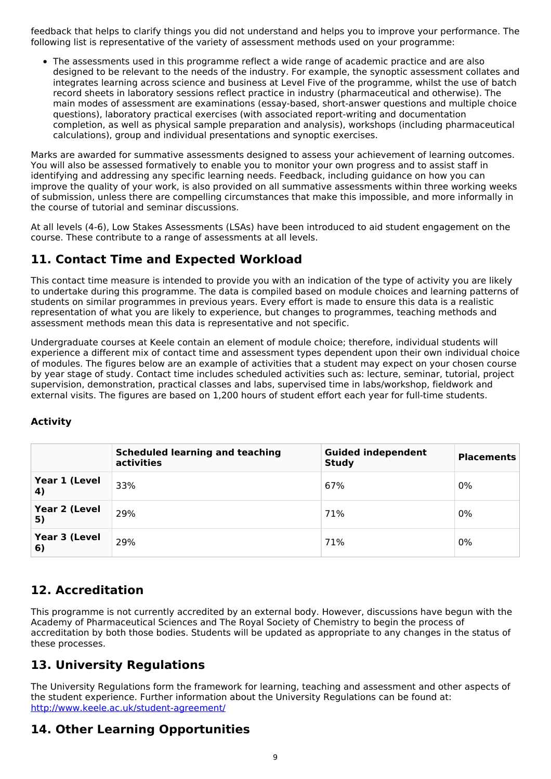feedback that helps to clarify things you did not understand and helps you to improve your performance. The following list is representative of the variety of assessment methods used on your programme:

The assessments used in this programme reflect a wide range of academic practice and are also designed to be relevant to the needs of the industry. For example, the synoptic assessment collates and integrates learning across science and business at Level Five of the programme, whilst the use of batch record sheets in laboratory sessions reflect practice in industry (pharmaceutical and otherwise). The main modes of assessment are examinations (essay-based, short-answer questions and multiple choice questions), laboratory practical exercises (with associated report-writing and documentation completion, as well as physical sample preparation and analysis), workshops (including pharmaceutical calculations), group and individual presentations and synoptic exercises.

Marks are awarded for summative assessments designed to assess your achievement of learning outcomes. You will also be assessed formatively to enable you to monitor your own progress and to assist staff in identifying and addressing any specific learning needs. Feedback, including guidance on how you can improve the quality of your work, is also provided on all summative assessments within three working weeks of submission, unless there are compelling circumstances that make this impossible, and more informally in the course of tutorial and seminar discussions.

At all levels (4-6), Low Stakes Assessments (LSAs) have been introduced to aid student engagement on the course. These contribute to a range of assessments at all levels.

# **11. Contact Time and Expected Workload**

This contact time measure is intended to provide you with an indication of the type of activity you are likely to undertake during this programme. The data is compiled based on module choices and learning patterns of students on similar programmes in previous years. Every effort is made to ensure this data is a realistic representation of what you are likely to experience, but changes to programmes, teaching methods and assessment methods mean this data is representative and not specific.

Undergraduate courses at Keele contain an element of module choice; therefore, individual students will experience a different mix of contact time and assessment types dependent upon their own individual choice of modules. The figures below are an example of activities that a student may expect on your chosen course by year stage of study. Contact time includes scheduled activities such as: lecture, seminar, tutorial, project supervision, demonstration, practical classes and labs, supervised time in labs/workshop, fieldwork and external visits. The figures are based on 1,200 hours of student effort each year for full-time students.

|                     | <b>Scheduled learning and teaching</b><br>activities | <b>Guided independent</b><br><b>Study</b> | <b>Placements</b> |
|---------------------|------------------------------------------------------|-------------------------------------------|-------------------|
| Year 1 (Level<br>4) | 33%                                                  | 67%                                       | $0\%$             |
| Year 2 (Level<br>5) | 29%                                                  | 71%                                       | 0%                |
| Year 3 (Level<br>6) | 29%                                                  | 71%                                       | 0%                |

# **12. Accreditation**

This programme is not currently accredited by an external body. However, discussions have begun with the Academy of Pharmaceutical Sciences and The Royal Society of Chemistry to begin the process of accreditation by both those bodies. Students will be updated as appropriate to any changes in the status of these processes.

# **13. University Regulations**

The University Regulations form the framework for learning, teaching and assessment and other aspects of the student experience. Further information about the University Regulations can be found at: <http://www.keele.ac.uk/student-agreement/>

# **14. Other Learning Opportunities**